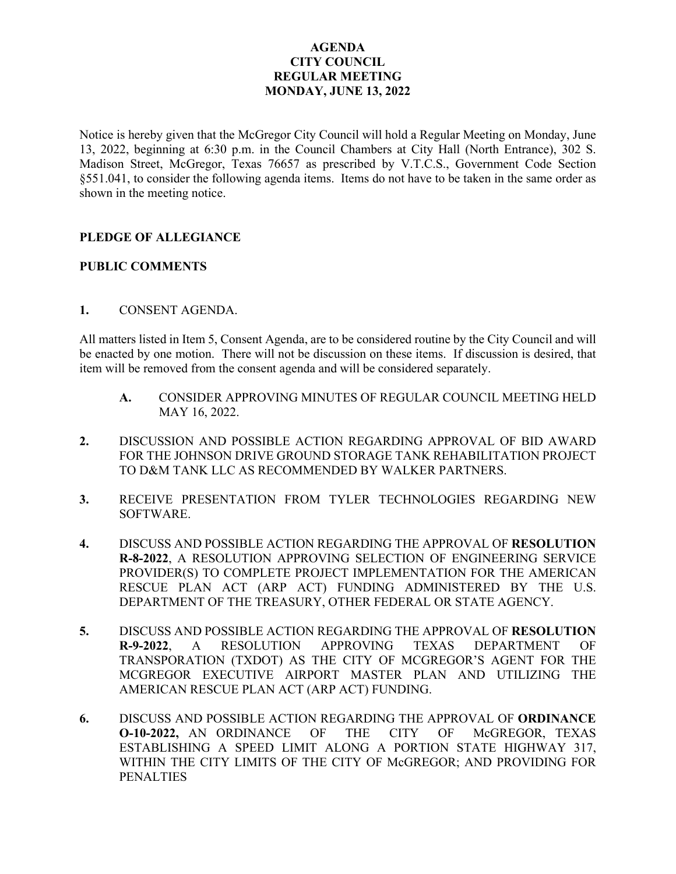## **AGENDA CITY COUNCIL REGULAR MEETING MONDAY, JUNE 13, 2022**

Notice is hereby given that the McGregor City Council will hold a Regular Meeting on Monday, June 13, 2022, beginning at 6:30 p.m. in the Council Chambers at City Hall (North Entrance), 302 S. Madison Street, McGregor, Texas 76657 as prescribed by V.T.C.S., Government Code Section §551.041, to consider the following agenda items. Items do not have to be taken in the same order as shown in the meeting notice.

## **PLEDGE OF ALLEGIANCE**

## **PUBLIC COMMENTS**

## **1.** CONSENT AGENDA.

All matters listed in Item 5, Consent Agenda, are to be considered routine by the City Council and will be enacted by one motion. There will not be discussion on these items. If discussion is desired, that item will be removed from the consent agenda and will be considered separately.

- **A.** CONSIDER APPROVING MINUTES OF REGULAR COUNCIL MEETING HELD MAY 16, 2022.
- **2.** DISCUSSION AND POSSIBLE ACTION REGARDING APPROVAL OF BID AWARD FOR THE JOHNSON DRIVE GROUND STORAGE TANK REHABILITATION PROJECT TO D&M TANK LLC AS RECOMMENDED BY WALKER PARTNERS.
- **3.** RECEIVE PRESENTATION FROM TYLER TECHNOLOGIES REGARDING NEW SOFTWARE.
- **4.** DISCUSS AND POSSIBLE ACTION REGARDING THE APPROVAL OF **RESOLUTION R-8-2022**, A RESOLUTION APPROVING SELECTION OF ENGINEERING SERVICE PROVIDER(S) TO COMPLETE PROJECT IMPLEMENTATION FOR THE AMERICAN RESCUE PLAN ACT (ARP ACT) FUNDING ADMINISTERED BY THE U.S. DEPARTMENT OF THE TREASURY, OTHER FEDERAL OR STATE AGENCY.
- **5.** DISCUSS AND POSSIBLE ACTION REGARDING THE APPROVAL OF **RESOLUTION R-9-2022**, A RESOLUTION APPROVING TEXAS DEPARTMENT OF TRANSPORATION (TXDOT) AS THE CITY OF MCGREGOR'S AGENT FOR THE MCGREGOR EXECUTIVE AIRPORT MASTER PLAN AND UTILIZING THE AMERICAN RESCUE PLAN ACT (ARP ACT) FUNDING.
- **6.** DISCUSS AND POSSIBLE ACTION REGARDING THE APPROVAL OF **ORDINANCE O-10-2022,** AN ORDINANCE OF THE CITY OF McGREGOR, TEXAS ESTABLISHING A SPEED LIMIT ALONG A PORTION STATE HIGHWAY 317, WITHIN THE CITY LIMITS OF THE CITY OF McGREGOR; AND PROVIDING FOR PENALTIES